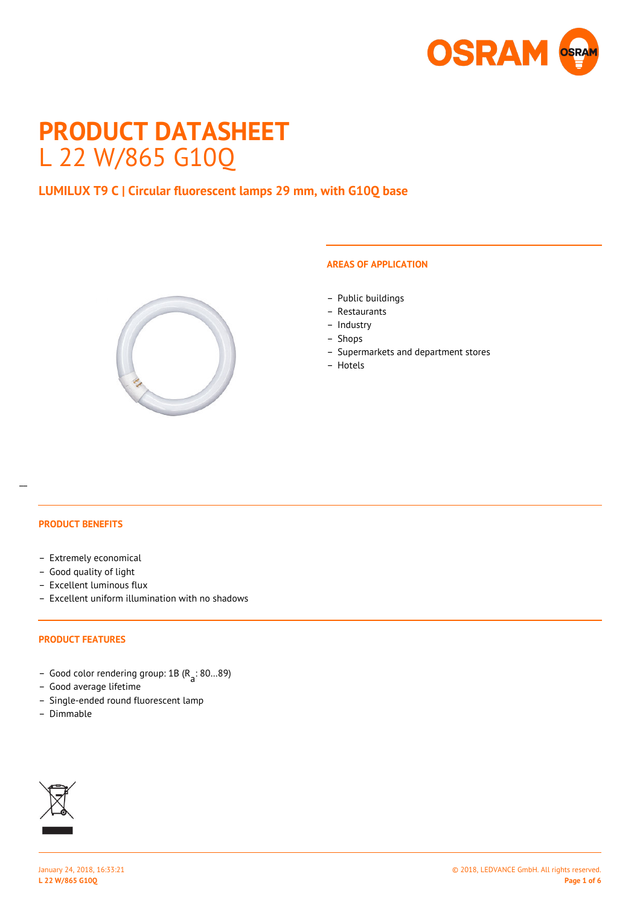

# **PRODUCT DATASHEET** L 22 W/865 G10Q

# **LUMILUX T9 C | Circular fluorescent lamps 29 mm, with G10Q base**



### **AREAS OF APPLICATION**

- Public buildings
- Restaurants
- Industry
- Shops
- Supermarkets and department stores
- Hotels

#### **PRODUCT BENEFITS**

 $\overline{a}$ 

- Extremely economical
- Good quality of light
- Excellent luminous flux
- Excellent uniform illumination with no shadows

#### **PRODUCT FEATURES**

- Good color rendering group: 1B (R a : 80…89)
- Good average lifetime
- Single-ended round fluorescent lamp
- Dimmable

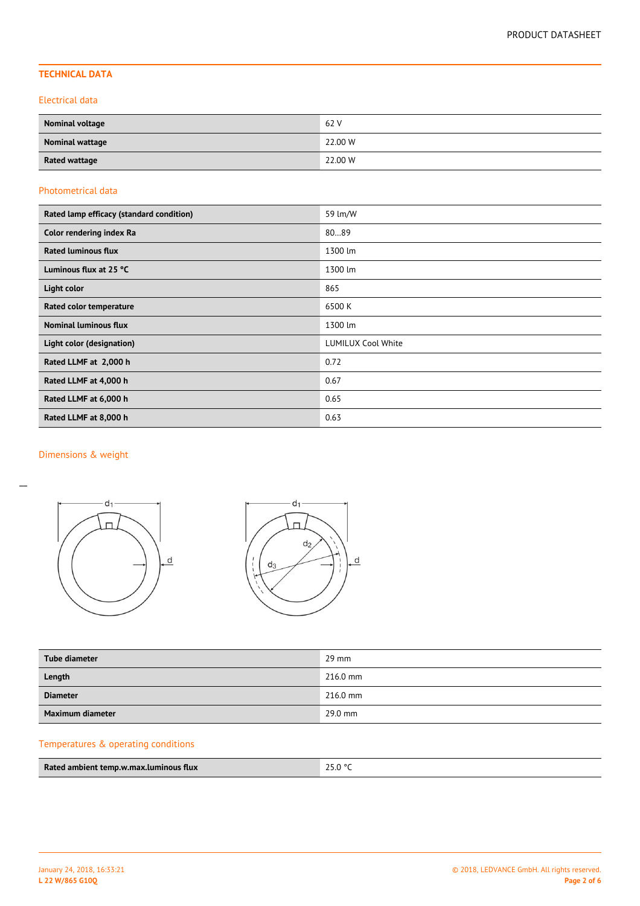# **TECHNICAL DATA**

#### Electrical data

| <b>Nominal voltage</b> | 62 V    |
|------------------------|---------|
| Nominal wattage        | 22.00 W |
| <b>Rated wattage</b>   | 22.00 W |

### Photometrical data

| Rated lamp efficacy (standard condition) | 59 lm/W                   |  |  |  |
|------------------------------------------|---------------------------|--|--|--|
| Color rendering index Ra                 | 8089                      |  |  |  |
| <b>Rated luminous flux</b>               | 1300 lm                   |  |  |  |
| Luminous flux at 25 °C                   | 1300 lm                   |  |  |  |
| Light color                              | 865                       |  |  |  |
| Rated color temperature                  | 6500 K                    |  |  |  |
| <b>Nominal luminous flux</b>             | 1300 lm                   |  |  |  |
| Light color (designation)                | <b>LUMILUX Cool White</b> |  |  |  |
| Rated LLMF at 2,000 h                    | 0.72                      |  |  |  |
| Rated LLMF at 4,000 h                    | 0.67                      |  |  |  |
| Rated LLMF at 6,000 h                    | 0.65                      |  |  |  |
| Rated LLMF at 8,000 h                    | 0.63                      |  |  |  |

# Dimensions & weight

 $\overline{a}$ 





| Tube diameter    | $29 \text{ mm}$ |
|------------------|-----------------|
| Length           | $216.0$ mm      |
| <b>Diameter</b>  | $216.0$ mm      |
| Maximum diameter | 29.0 mm         |

# Temperatures & operating conditions

| Rated ambient temp.w.max.luminous flux | 25.0 °C |
|----------------------------------------|---------|
|                                        |         |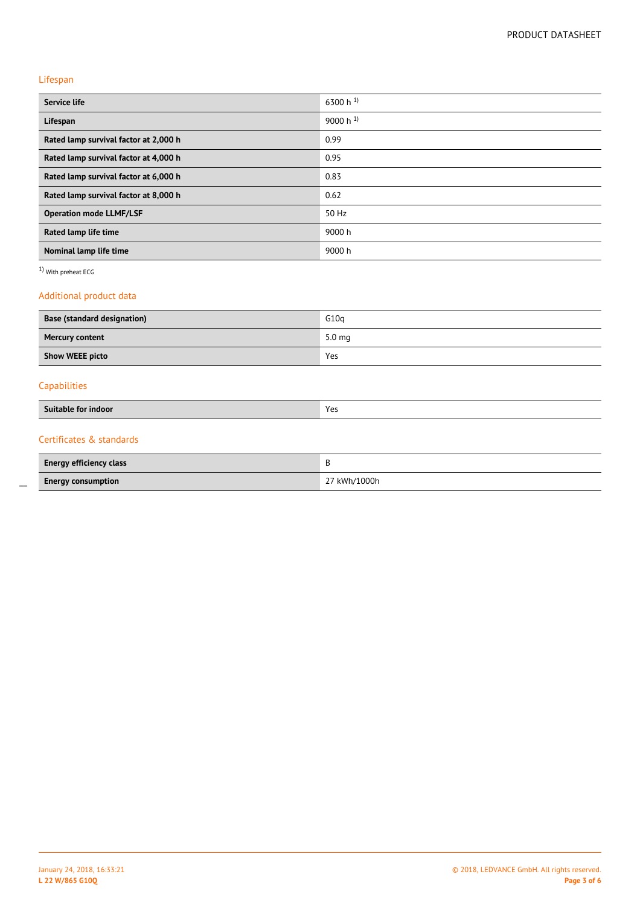## Lifespan

 $\overline{a}$ 

| <b>Service life</b>                        | 6300 h 1)         |  |  |
|--------------------------------------------|-------------------|--|--|
| Lifespan                                   | 9000 h $^{1}$     |  |  |
| Rated lamp survival factor at 2,000 h      | 0.99              |  |  |
| Rated lamp survival factor at 4,000 h      | 0.95              |  |  |
| Rated lamp survival factor at 6,000 h      | 0.83              |  |  |
| Rated lamp survival factor at 8,000 h      | 0.62              |  |  |
| <b>Operation mode LLMF/LSF</b>             | 50 Hz             |  |  |
| Rated lamp life time                       | 9000 h            |  |  |
| Nominal lamp life time                     | 9000 h            |  |  |
| 1) With preheat ECG                        |                   |  |  |
| Additional product data                    |                   |  |  |
| <b>Base (standard designation)</b><br>G10q |                   |  |  |
| <b>Mercury content</b>                     | 5.0 <sub>mg</sub> |  |  |
| <b>Show WEEE picto</b>                     | Yes               |  |  |
| Capabilities                               |                   |  |  |
| <b>Suitable for indoor</b>                 | Yes               |  |  |
| Certificates & standards                   |                   |  |  |

| <b>Energy efficiency class</b> |              |
|--------------------------------|--------------|
| <b>Energy consumption</b>      | 27 kWh/1000h |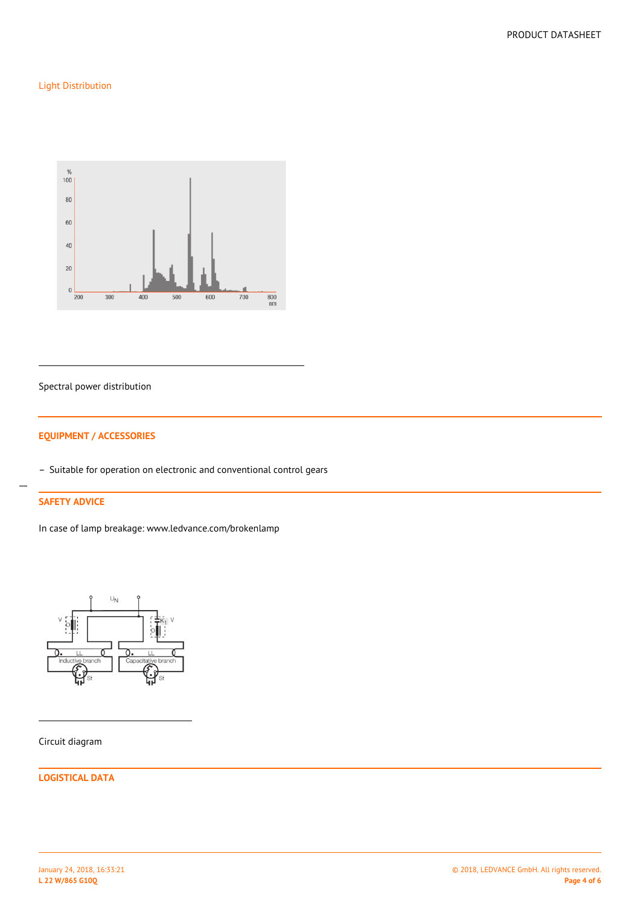# Light Distribution



#### Spectral power distribution

## **EQUIPMENT / ACCESSORIES**

– Suitable for operation on electronic and conventional control gears

# **SAFETY ADVICE**

 $\overline{a}$ 

In case of lamp breakage: www.ledvance.com/brokenlamp



Circuit diagram

**LOGISTICAL DATA**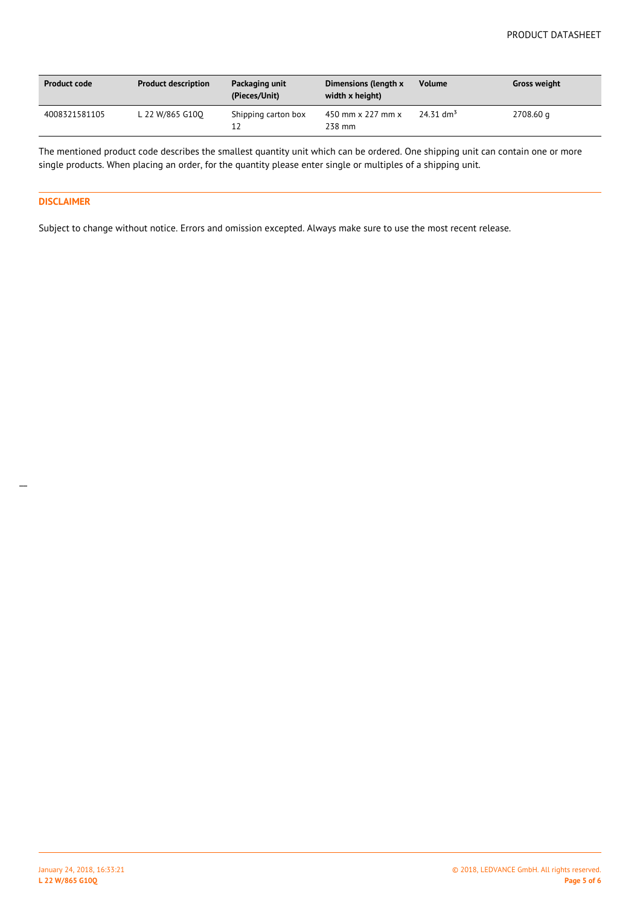| <b>Product code</b> | <b>Product description</b> | Packaging unit<br>(Pieces/Unit) | Dimensions (length x<br>width x height) | <b>Volume</b>           | <b>Gross weight</b> |
|---------------------|----------------------------|---------------------------------|-----------------------------------------|-------------------------|---------------------|
| 4008321581105       | L 22 W/865 G100            | Shipping carton box<br>12       | 450 mm x 227 mm x<br>238 mm             | $24.31$ dm <sup>3</sup> | 2708.60 g           |

The mentioned product code describes the smallest quantity unit which can be ordered. One shipping unit can contain one or more single products. When placing an order, for the quantity please enter single or multiples of a shipping unit.

#### **DISCLAIMER**

 $\overline{a}$ 

Subject to change without notice. Errors and omission excepted. Always make sure to use the most recent release.